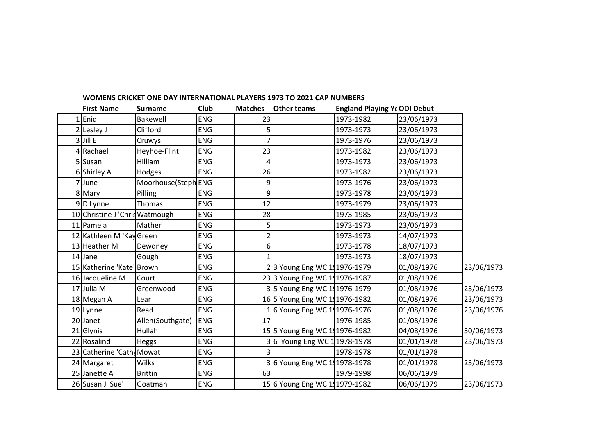|   | <b>First Name</b>              | <b>Surname</b>      | Club       | <b>Matches</b> | <b>Other teams</b>            | <b>England Playing Ye ODI Debut</b> |            |            |
|---|--------------------------------|---------------------|------------|----------------|-------------------------------|-------------------------------------|------------|------------|
| 1 | Enid                           | Bakewell            | <b>ENG</b> | 23             |                               | 1973-1982                           | 23/06/1973 |            |
|   | 2 Lesley J                     | Clifford            | ENG        |                |                               | 1973-1973                           | 23/06/1973 |            |
|   | 3 Jill E                       | Cruwys              | <b>ENG</b> |                |                               | 1973-1976                           | 23/06/1973 |            |
|   | 4 Rachael                      | Heyhoe-Flint        | <b>ENG</b> | 23             |                               | 1973-1982                           | 23/06/1973 |            |
|   | 5 Susan                        | Hilliam             | <b>ENG</b> | 4              |                               | 1973-1973                           | 23/06/1973 |            |
|   | 6 Shirley A                    | Hodges              | <b>ENG</b> | 26             |                               | 1973-1982                           | 23/06/1973 |            |
|   | 7 June                         | Moorhouse(Steph ENG |            | 9              |                               | 1973-1976                           | 23/06/1973 |            |
|   | 8 Mary                         | Pilling             | <b>ENG</b> | 9              |                               | 1973-1978                           | 23/06/1973 |            |
|   | 9D Lynne                       | Thomas              | <b>ENG</b> | 12             |                               | 1973-1979                           | 23/06/1973 |            |
|   | 10 Christine J 'Chris Watmough |                     | <b>ENG</b> | 28             |                               | 1973-1985                           | 23/06/1973 |            |
|   | 11 Pamela                      | Mather              | <b>ENG</b> |                |                               | 1973-1973                           | 23/06/1973 |            |
|   | 12 Kathleen M 'Kay Green       |                     | <b>ENG</b> |                |                               | 1973-1973                           | 14/07/1973 |            |
|   | 13 Heather M                   | Dewdney             | <b>ENG</b> | 6              |                               | 1973-1978                           | 18/07/1973 |            |
|   | 14 Jane                        | Gough               | <b>ENG</b> |                |                               | 1973-1973                           | 18/07/1973 |            |
|   | 15 Katherine 'Kate' Brown      |                     | <b>ENG</b> |                | 23 Young Eng WC 111976-1979   |                                     | 01/08/1976 | 23/06/1973 |
|   | 16 Jacqueline M                | Court               | <b>ENG</b> |                | 23 3 Young Eng WC 111976-1987 |                                     | 01/08/1976 |            |
|   | 17 Julia M                     | Greenwood           | <b>ENG</b> |                | 35 Young Eng WC 111976-1979   |                                     | 01/08/1976 | 23/06/1973 |
|   | 18 Megan A                     | Lear                | <b>ENG</b> |                | 16 5 Young Eng WC 191976-1982 |                                     | 01/08/1976 | 23/06/1973 |
|   | 19 Lynne                       | Read                | <b>ENG</b> |                | 16 Young Eng WC 111976-1976   |                                     | 01/08/1976 | 23/06/1976 |
|   | 20 Janet                       | Allen(Southgate)    | <b>ENG</b> | 17             |                               | 1976-1985                           | 01/08/1976 |            |
|   | 21 Glynis                      | Hullah              | <b>ENG</b> |                | 15 5 Young Eng WC 191976-1982 |                                     | 04/08/1976 | 30/06/1973 |
|   | 22 Rosalind                    | Heggs               | <b>ENG</b> |                | 36 Young Eng WC 11978-1978    |                                     | 01/01/1978 | 23/06/1973 |
|   | 23 Catherine 'Cathy Mowat      |                     | <b>ENG</b> |                |                               | 1978-1978                           | 01/01/1978 |            |
|   | 24 Margaret                    | Wilks               | <b>ENG</b> |                | 36 Young Eng WC 111978-1978   |                                     | 01/01/1978 | 23/06/1973 |
|   | 25 Janette A                   | <b>Brittin</b>      | <b>ENG</b> | 63             |                               | 1979-1998                           | 06/06/1979 |            |
|   | 26 Susan J 'Sue'               | Goatman             | ENG        |                | 15 6 Young Eng WC 111979-1982 |                                     | 06/06/1979 | 23/06/1973 |

## **WOMENS CRICKET ONE DAY INTERNATIONAL PLAYERS 1973 TO 2021 CAP NUMBERS**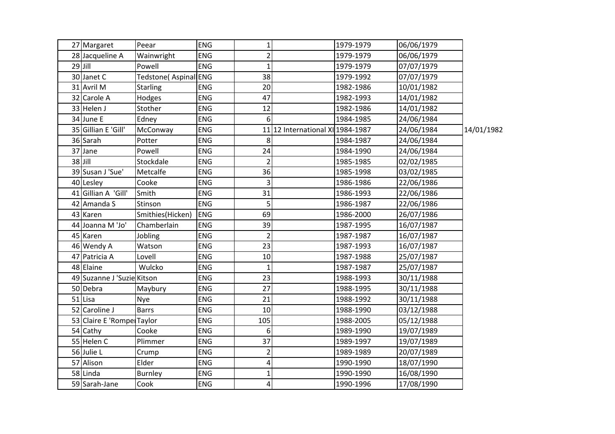| 27 Margaret                | Peear                        | <b>ENG</b> | $\mathbf{1}$   |                                  | 1979-1979 | 06/06/1979 |            |
|----------------------------|------------------------------|------------|----------------|----------------------------------|-----------|------------|------------|
| 28 Jacqueline A            | Wainwright                   | ENG        | $\overline{2}$ |                                  | 1979-1979 | 06/06/1979 |            |
| $29$ Jill                  | Powell                       | ENG        | $\mathbf{1}$   |                                  | 1979-1979 | 07/07/1979 |            |
| 30 Janet C                 | <b>Tedstone</b> (Aspinal ENG |            | 38             |                                  | 1979-1992 | 07/07/1979 |            |
| 31 Avril M                 | <b>Starling</b>              | ENG        | 20             |                                  | 1982-1986 | 10/01/1982 |            |
| 32 Carole A                | Hodges                       | ENG        | 47             |                                  | 1982-1993 | 14/01/1982 |            |
| 33 Helen J                 | Stother                      | ENG        | 12             |                                  | 1982-1986 | 14/01/1982 |            |
| 34 June E                  | Edney                        | ENG        | 6              |                                  | 1984-1985 | 24/06/1984 |            |
| 35 Gillian E 'Gill'        | McConway                     | ENG        |                | 11 12 International XI 1984-1987 |           | 24/06/1984 | 14/01/1982 |
| 36 Sarah                   | Potter                       | ENG        | 8              |                                  | 1984-1987 | 24/06/1984 |            |
| 37 Jane                    | Powell                       | ENG        | 24             |                                  | 1984-1990 | 24/06/1984 |            |
| $38$ Jill                  | Stockdale                    | ENG        |                |                                  | 1985-1985 | 02/02/1985 |            |
| 39 Susan J 'Sue'           | Metcalfe                     | <b>ENG</b> | 36             |                                  | 1985-1998 | 03/02/1985 |            |
| 40 Lesley                  | Cooke                        | ENG        | 3              |                                  | 1986-1986 | 22/06/1986 |            |
| 41 Gillian A 'Gill'        | Smith                        | ENG        | 31             |                                  | 1986-1993 | 22/06/1986 |            |
| 42 Amanda S                | Stinson                      | ENG        | 5              |                                  | 1986-1987 | 22/06/1986 |            |
| 43 Karen                   | Smithies(Hicken)             | ENG        | 69             |                                  | 1986-2000 | 26/07/1986 |            |
| 44 Joanna M 'Jo'           | Chamberlain                  | ENG        | 39             |                                  | 1987-1995 | 16/07/1987 |            |
| 45 Karen                   | Jobling                      | ENG        | $\overline{2}$ |                                  | 1987-1987 | 16/07/1987 |            |
| 46 Wendy A                 | Watson                       | ENG        | 23             |                                  | 1987-1993 | 16/07/1987 |            |
| 47 Patricia A              | Lovell                       | <b>ENG</b> | 10             |                                  | 1987-1988 | 25/07/1987 |            |
| 48 Elaine                  | Wulcko                       | ENG        | $\mathbf{1}$   |                                  | 1987-1987 | 25/07/1987 |            |
| 49 Suzanne J 'Suzie Kitson |                              | ENG        | 23             |                                  | 1988-1993 | 30/11/1988 |            |
| 50 Debra                   | Maybury                      | ENG        | 27             |                                  | 1988-1995 | 30/11/1988 |            |
| 51 Lisa                    | Nye                          | ENG        | 21             |                                  | 1988-1992 | 30/11/1988 |            |
| 52 Caroline J              | <b>Barrs</b>                 | <b>ENG</b> | 10             |                                  | 1988-1990 | 03/12/1988 |            |
| 53 Claire E 'Rompe Taylor  |                              | ENG        | 105            |                                  | 1988-2005 | 05/12/1988 |            |
| 54 Cathy                   | Cooke                        | ENG        | 6              |                                  | 1989-1990 | 19/07/1989 |            |
| 55 Helen C                 | Plimmer                      | <b>ENG</b> | 37             |                                  | 1989-1997 | 19/07/1989 |            |
| 56 Julie L                 | Crump                        | <b>ENG</b> | $\overline{2}$ |                                  | 1989-1989 | 20/07/1989 |            |
| 57 Alison                  | Elder                        | ENG        | 4              |                                  | 1990-1990 | 18/07/1990 |            |
| 58 Linda                   | <b>Burnley</b>               | ENG        | 1              |                                  | 1990-1990 | 16/08/1990 |            |
| 59 Sarah-Jane              | Cook                         | <b>ENG</b> | $\overline{4}$ |                                  | 1990-1996 | 17/08/1990 |            |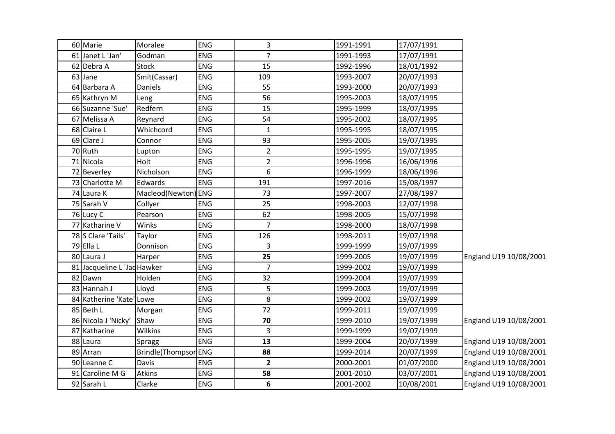| 60 Marie                    | Moralee              | <b>ENG</b> | 3                       | 1991-1991 | 17/07/1991 |                        |
|-----------------------------|----------------------|------------|-------------------------|-----------|------------|------------------------|
| 61 Janet L 'Jan'            | Godman               | <b>ENG</b> | $\overline{7}$          | 1991-1993 | 17/07/1991 |                        |
| 62 Debra A                  | <b>Stock</b>         | <b>ENG</b> | 15                      | 1992-1996 | 18/01/1992 |                        |
| 63 Jane                     | Smit(Cassar)         | ENG        | 109                     | 1993-2007 | 20/07/1993 |                        |
| 64 Barbara A                | <b>Daniels</b>       | <b>ENG</b> | 55                      | 1993-2000 | 20/07/1993 |                        |
| 65 Kathryn M                | Leng                 | <b>ENG</b> | 56                      | 1995-2003 | 18/07/1995 |                        |
| 66 Suzanne 'Sue'            | Redfern              | ENG        | 15                      | 1995-1999 | 18/07/1995 |                        |
| 67 Melissa A                | Reynard              | <b>ENG</b> | 54                      | 1995-2002 | 18/07/1995 |                        |
| 68 Claire L                 | Whichcord            | ENG        | 1                       | 1995-1995 | 18/07/1995 |                        |
| 69 Clare J                  | Connor               | ENG        | 93                      | 1995-2005 | 19/07/1995 |                        |
| 70 Ruth                     | Lupton               | <b>ENG</b> | $\overline{2}$          | 1995-1995 | 19/07/1995 |                        |
| 71 Nicola                   | Holt                 | ENG        | $\overline{2}$          | 1996-1996 | 16/06/1996 |                        |
| 72 Beverley                 | Nicholson            | <b>ENG</b> | 6                       | 1996-1999 | 18/06/1996 |                        |
| 73 Charlotte M              | Edwards              | ENG        | 191                     | 1997-2016 | 15/08/1997 |                        |
| 74 Laura K                  | Macleod(Newton) ENG  |            | 73                      | 1997-2007 | 27/08/1997 |                        |
| 75 Sarah V                  | Collyer              | <b>ENG</b> | 25                      | 1998-2003 | 12/07/1998 |                        |
| 76 Lucy C                   | Pearson              | <b>ENG</b> | 62                      | 1998-2005 | 15/07/1998 |                        |
| 77 Katharine V              | Winks                | ENG        | $\overline{7}$          | 1998-2000 | 18/07/1998 |                        |
| 78 S Clare 'Tails'          | Taylor               | ENG        | 126                     | 1998-2011 | 19/07/1998 |                        |
| 79 Ella L                   | Donnison             | <b>ENG</b> | 3                       | 1999-1999 | 19/07/1999 |                        |
| 80 Laura J                  | Harper               | <b>ENG</b> | 25                      | 1999-2005 | 19/07/1999 | England U19 10/08/2001 |
| 81 Jacqueline L 'Jac Hawker |                      | ENG        | $\overline{7}$          | 1999-2002 | 19/07/1999 |                        |
| 82 Dawn                     | Holden               | ENG        | 32                      | 1999-2004 | 19/07/1999 |                        |
| 83 Hannah J                 | Lloyd                | ENG        | 5                       | 1999-2003 | 19/07/1999 |                        |
| 84 Katherine 'Kate' Lowe    |                      | <b>ENG</b> | 8                       | 1999-2002 | 19/07/1999 |                        |
| 85 Beth L                   | Morgan               | ENG        | 72                      | 1999-2011 | 19/07/1999 |                        |
| 86 Nicola J 'Nicky'         | Shaw                 | ENG        | 70                      | 1999-2010 | 19/07/1999 | England U19 10/08/2001 |
| 87 Katharine                | <b>Wilkins</b>       | <b>ENG</b> | 3                       | 1999-1999 | 19/07/1999 |                        |
| 88 Laura                    | Spragg               | <b>ENG</b> | 13                      | 1999-2004 | 20/07/1999 | England U19 10/08/2001 |
| 89 Arran                    | Brindle(Thompson ENG |            | 88                      | 1999-2014 | 20/07/1999 | England U19 10/08/2001 |
| 90 Leanne C                 | Davis                | <b>ENG</b> | $\overline{\mathbf{c}}$ | 2000-2001 | 01/07/2000 | England U19 10/08/2001 |
| 91 Caroline M G             | <b>Atkins</b>        | <b>ENG</b> | 58                      | 2001-2010 | 03/07/2001 | England U19 10/08/2001 |
| 92 Sarah L                  | Clarke               | <b>ENG</b> | 6                       | 2001-2002 | 10/08/2001 | England U19 10/08/2001 |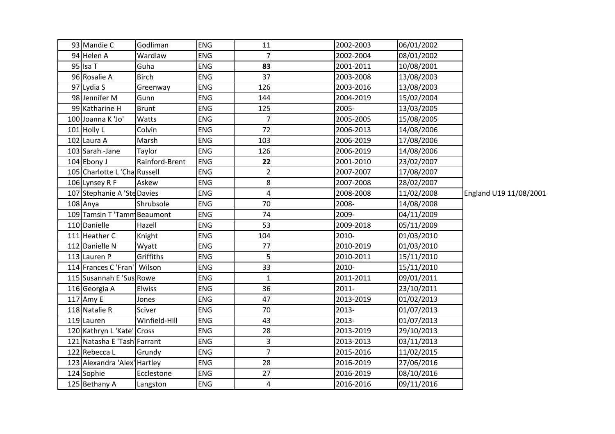| 93 Mandie C                  | Godliman       | <b>ENG</b> | 11             | 2002-2003 | 06/01/2002 |                        |
|------------------------------|----------------|------------|----------------|-----------|------------|------------------------|
| 94 Helen A                   | Wardlaw        | <b>ENG</b> | 7              | 2002-2004 | 08/01/2002 |                        |
| 95 Isa T                     | Guha           | <b>ENG</b> | 83             | 2001-2011 | 10/08/2001 |                        |
| 96 Rosalie A                 | <b>Birch</b>   | ENG        | 37             | 2003-2008 | 13/08/2003 |                        |
| 97 Lydia S                   | Greenway       | <b>ENG</b> | 126            | 2003-2016 | 13/08/2003 |                        |
| 98 Jennifer M                | Gunn           | ENG        | 144            | 2004-2019 | 15/02/2004 |                        |
| 99 Katharine H               | <b>Brunt</b>   | ENG        | 125            | 2005-     | 13/03/2005 |                        |
| 100 Joanna K 'Jo'            | Watts          | ENG        | 7              | 2005-2005 | 15/08/2005 |                        |
| 101 Holly L                  | Colvin         | <b>ENG</b> | 72             | 2006-2013 | 14/08/2006 |                        |
| 102 Laura A                  | Marsh          | <b>ENG</b> | 103            | 2006-2019 | 17/08/2006 |                        |
| 103 Sarah - Jane             | Taylor         | ENG        | 126            | 2006-2019 | 14/08/2006 |                        |
| 104 Ebony J                  | Rainford-Brent | <b>ENG</b> | 22             | 2001-2010 | 23/02/2007 |                        |
| 105 Charlotte L 'Cha Russell |                | ENG        | $\overline{c}$ | 2007-2007 | 17/08/2007 |                        |
| 106 Lynsey R F               | Askew          | ENG        | 8              | 2007-2008 | 28/02/2007 |                        |
| 107 Stephanie A 'Ste Davies  |                | ENG        | 4              | 2008-2008 | 11/02/2008 | England U19 11/08/2001 |
| 108 Anya                     | Shrubsole      | ENG        | 70             | 2008-     | 14/08/2008 |                        |
| 109 Tamsin T 'Tamm Beaumont  |                | ENG        | 74             | 2009-     | 04/11/2009 |                        |
| 110 Danielle                 | Hazell         | ENG        | 53             | 2009-2018 | 05/11/2009 |                        |
| 111 Heather C                | Knight         | ENG        | 104            | 2010-     | 01/03/2010 |                        |
| 112 Danielle N               | Wyatt          | <b>ENG</b> | 77             | 2010-2019 | 01/03/2010 |                        |
| 113 Lauren P                 | Griffiths      | ENG        | 5              | 2010-2011 | 15/11/2010 |                        |
| 114 Frances C 'Fran' Wilson  |                | ENG        | 33             | 2010-     | 15/11/2010 |                        |
| 115 Susannah E 'Sus Rowe     |                | ENG        | 1              | 2011-2011 | 09/01/2011 |                        |
| 116 Georgia A                | Elwiss         | ENG        | 36             | $2011 -$  | 23/10/2011 |                        |
| 117 Amy E                    | Jones          | ENG        | 47             | 2013-2019 | 01/02/2013 |                        |
| 118 Natalie R                | Sciver         | ENG        | 70             | 2013-     | 01/07/2013 |                        |
| 119 Lauren                   | Winfield-Hill  | ENG        | 43             | 2013-     | 01/07/2013 |                        |
| 120 Kathryn L 'Kate' Cross   |                | <b>ENG</b> | 28             | 2013-2019 | 29/10/2013 |                        |
| 121 Natasha E 'Tash Farrant  |                | ENG        | 3              | 2013-2013 | 03/11/2013 |                        |
| 122 Rebecca L                | Grundy         | ENG        | $\overline{7}$ | 2015-2016 | 11/02/2015 |                        |
| 123 Alexandra 'Alex' Hartley |                | <b>ENG</b> | 28             | 2016-2019 | 27/06/2016 |                        |
| 124 Sophie                   | Ecclestone     | <b>ENG</b> | 27             | 2016-2019 | 08/10/2016 |                        |
| 125 Bethany A                | Langston       | <b>ENG</b> | 4              | 2016-2016 | 09/11/2016 |                        |
|                              |                |            |                |           |            |                        |